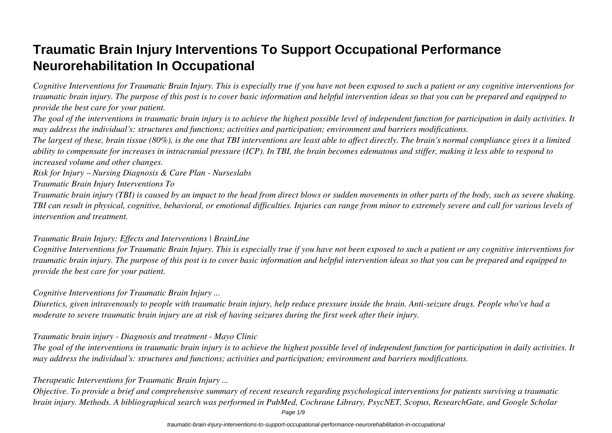## **Traumatic Brain Injury Interventions To Support Occupational Performance Neurorehabilitation In Occupational**

*Cognitive Interventions for Traumatic Brain Injury. This is especially true if you have not been exposed to such a patient or any cognitive interventions for traumatic brain injury. The purpose of this post is to cover basic information and helpful intervention ideas so that you can be prepared and equipped to provide the best care for your patient.*

*The goal of the interventions in traumatic brain injury is to achieve the highest possible level of independent function for participation in daily activities. It may address the individual's: structures and functions; activities and participation; environment and barriers modifications.*

*The largest of these, brain tissue (80%), is the one that TBI interventions are least able to affect directly. The brain's normal compliance gives it a limited ability to compensate for increases in intracranial pressure (ICP). In TBI, the brain becomes edematous and stiffer, making it less able to respond to increased volume and other changes.*

*Risk for Injury – Nursing Diagnosis & Care Plan - Nurseslabs*

*Traumatic Brain Injury Interventions To*

*Traumatic brain injury (TBI) is caused by an impact to the head from direct blows or sudden movements in other parts of the body, such as severe shaking. TBI can result in physical, cognitive, behavioral, or emotional difficulties. Injuries can range from minor to extremely severe and call for various levels of intervention and treatment.*

#### *Traumatic Brain Injury: Effects and Interventions | BrainLine*

*Cognitive Interventions for Traumatic Brain Injury. This is especially true if you have not been exposed to such a patient or any cognitive interventions for traumatic brain injury. The purpose of this post is to cover basic information and helpful intervention ideas so that you can be prepared and equipped to provide the best care for your patient.*

#### *Cognitive Interventions for Traumatic Brain Injury ...*

*Diuretics, given intravenously to people with traumatic brain injury, help reduce pressure inside the brain. Anti-seizure drugs. People who've had a moderate to severe traumatic brain injury are at risk of having seizures during the first week after their injury.*

#### *Traumatic brain injury - Diagnosis and treatment - Mayo Clinic*

*The goal of the interventions in traumatic brain injury is to achieve the highest possible level of independent function for participation in daily activities. It may address the individual's: structures and functions; activities and participation; environment and barriers modifications.*

#### *Therapeutic Interventions for Traumatic Brain Injury ...*

*Objective. To provide a brief and comprehensive summary of recent research regarding psychological interventions for patients surviving a traumatic brain injury. Methods. A bibliographical search was performed in PubMed, Cochrane Library, PsycNET, Scopus, ResearchGate, and Google Scholar*

Page  $1/9$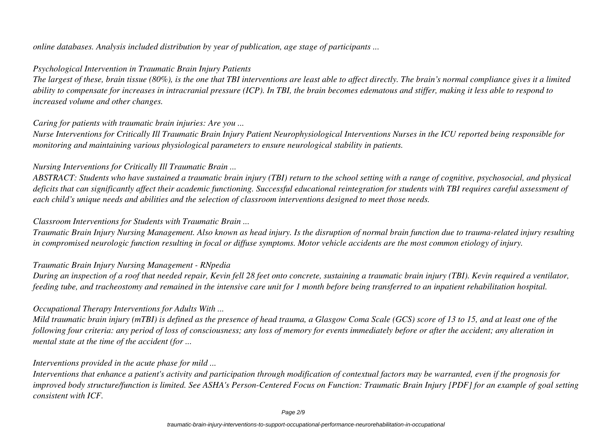*online databases. Analysis included distribution by year of publication, age stage of participants ...*

#### *Psychological Intervention in Traumatic Brain Injury Patients*

*The largest of these, brain tissue (80%), is the one that TBI interventions are least able to affect directly. The brain's normal compliance gives it a limited ability to compensate for increases in intracranial pressure (ICP). In TBI, the brain becomes edematous and stiffer, making it less able to respond to increased volume and other changes.*

#### *Caring for patients with traumatic brain injuries: Are you ...*

*Nurse Interventions for Critically Ill Traumatic Brain Injury Patient Neurophysiological Interventions Nurses in the ICU reported being responsible for monitoring and maintaining various physiological parameters to ensure neurological stability in patients.*

#### *Nursing Interventions for Critically Ill Traumatic Brain ...*

*ABSTRACT: Students who have sustained a traumatic brain injury (TBI) return to the school setting with a range of cognitive, psychosocial, and physical deficits that can significantly affect their academic functioning. Successful educational reintegration for students with TBI requires careful assessment of each child's unique needs and abilities and the selection of classroom interventions designed to meet those needs.*

#### *Classroom Interventions for Students with Traumatic Brain ...*

*Traumatic Brain Injury Nursing Management. Also known as head injury. Is the disruption of normal brain function due to trauma-related injury resulting in compromised neurologic function resulting in focal or diffuse symptoms. Motor vehicle accidents are the most common etiology of injury.*

#### *Traumatic Brain Injury Nursing Management - RNpedia*

*During an inspection of a roof that needed repair, Kevin fell 28 feet onto concrete, sustaining a traumatic brain injury (TBI). Kevin required a ventilator, feeding tube, and tracheostomy and remained in the intensive care unit for 1 month before being transferred to an inpatient rehabilitation hospital.*

#### *Occupational Therapy Interventions for Adults With ...*

*Mild traumatic brain injury (mTBI) is defined as the presence of head trauma, a Glasgow Coma Scale (GCS) score of 13 to 15, and at least one of the following four criteria: any period of loss of consciousness; any loss of memory for events immediately before or after the accident; any alteration in mental state at the time of the accident (for ...*

#### *Interventions provided in the acute phase for mild ...*

*Interventions that enhance a patient's activity and participation through modification of contextual factors may be warranted, even if the prognosis for improved body structure/function is limited. See ASHA's Person-Centered Focus on Function: Traumatic Brain Injury [PDF] for an example of goal setting consistent with ICF.*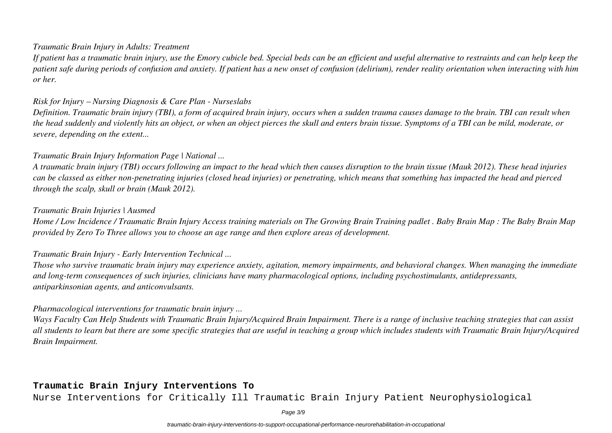#### *Traumatic Brain Injury in Adults: Treatment*

*If patient has a traumatic brain injury, use the Emory cubicle bed. Special beds can be an efficient and useful alternative to restraints and can help keep the patient safe during periods of confusion and anxiety. If patient has a new onset of confusion (delirium), render reality orientation when interacting with him or her.*

#### *Risk for Injury – Nursing Diagnosis & Care Plan - Nurseslabs*

*Definition. Traumatic brain injury (TBI), a form of acquired brain injury, occurs when a sudden trauma causes damage to the brain. TBI can result when the head suddenly and violently hits an object, or when an object pierces the skull and enters brain tissue. Symptoms of a TBI can be mild, moderate, or severe, depending on the extent...*

#### *Traumatic Brain Injury Information Page | National ...*

*A traumatic brain injury (TBI) occurs following an impact to the head which then causes disruption to the brain tissue (Mauk 2012). These head injuries can be classed as either non-penetrating injuries (closed head injuries) or penetrating, which means that something has impacted the head and pierced through the scalp, skull or brain (Mauk 2012).*

#### *Traumatic Brain Injuries | Ausmed*

*Home / Low Incidence / Traumatic Brain Injury Access training materials on The Growing Brain Training padlet . Baby Brain Map : The Baby Brain Map provided by Zero To Three allows you to choose an age range and then explore areas of development.*

#### *Traumatic Brain Injury - Early Intervention Technical ...*

*Those who survive traumatic brain injury may experience anxiety, agitation, memory impairments, and behavioral changes. When managing the immediate and long-term consequences of such injuries, clinicians have many pharmacological options, including psychostimulants, antidepressants, antiparkinsonian agents, and anticonvulsants.*

#### *Pharmacological interventions for traumatic brain injury ...*

*Ways Faculty Can Help Students with Traumatic Brain Injury/Acquired Brain Impairment. There is a range of inclusive teaching strategies that can assist all students to learn but there are some specific strategies that are useful in teaching a group which includes students with Traumatic Brain Injury/Acquired Brain Impairment.*

#### **Traumatic Brain Injury Interventions To**

Nurse Interventions for Critically Ill Traumatic Brain Injury Patient Neurophysiological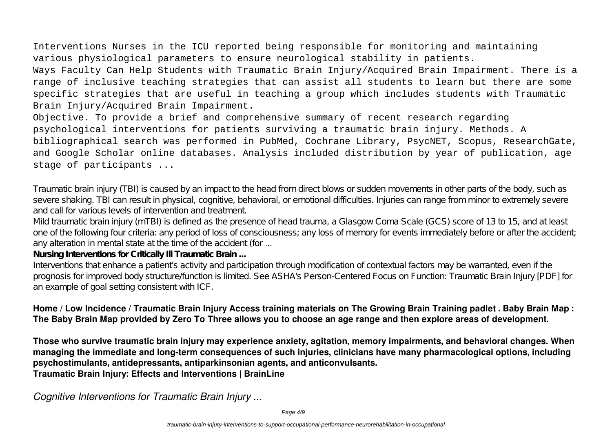# Interventions Nurses in the ICU reported being responsible for monitoring and maintaining

various physiological parameters to ensure neurological stability in patients.

Ways Faculty Can Help Students with Traumatic Brain Injury/Acquired Brain Impairment. There is a range of inclusive teaching strategies that can assist all students to learn but there are some specific strategies that are useful in teaching a group which includes students with Traumatic Brain Injury/Acquired Brain Impairment.

Objective. To provide a brief and comprehensive summary of recent research regarding psychological interventions for patients surviving a traumatic brain injury. Methods. A bibliographical search was performed in PubMed, Cochrane Library, PsycNET, Scopus, ResearchGate, and Google Scholar online databases. Analysis included distribution by year of publication, age stage of participants ...

Traumatic brain injury (TBI) is caused by an impact to the head from direct blows or sudden movements in other parts of the body, such as severe shaking. TBI can result in physical, cognitive, behavioral, or emotional difficulties. Injuries can range from minor to extremely severe and call for various levels of intervention and treatment.

Mild traumatic brain injury (mTBI) is defined as the presence of head trauma, a Glasgow Coma Scale (GCS) score of 13 to 15, and at least one of the following four criteria: any period of loss of consciousness; any loss of memory for events immediately before or after the accident; any alteration in mental state at the time of the accident (for ...

**Nursing Interventions for Critically Ill Traumatic Brain ...**

Interventions that enhance a patient's activity and participation through modification of contextual factors may be warranted, even if the prognosis for improved body structure/function is limited. See ASHA's Person-Centered Focus on Function: Traumatic Brain Injury [PDF] for an example of goal setting consistent with ICF.

#### **Home / Low Incidence / Traumatic Brain Injury Access training materials on The Growing Brain Training padlet . Baby Brain Map : The Baby Brain Map provided by Zero To Three allows you to choose an age range and then explore areas of development.**

**Those who survive traumatic brain injury may experience anxiety, agitation, memory impairments, and behavioral changes. When managing the immediate and long-term consequences of such injuries, clinicians have many pharmacological options, including psychostimulants, antidepressants, antiparkinsonian agents, and anticonvulsants. Traumatic Brain Injury: Effects and Interventions | BrainLine**

*Cognitive Interventions for Traumatic Brain Injury ...*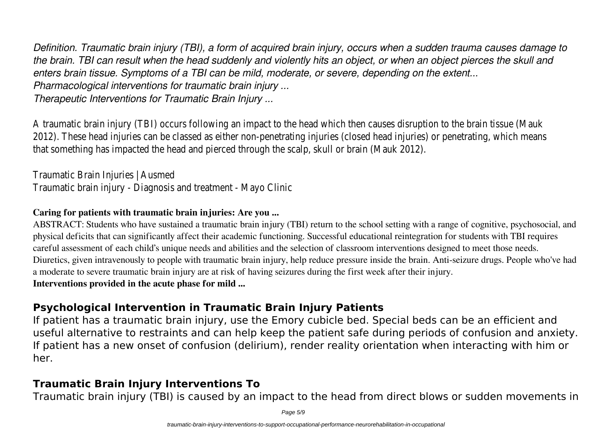*Definition. Traumatic brain injury (TBI), a form of acquired brain injury, occurs when a sudden trauma causes damage to the brain. TBI can result when the head suddenly and violently hits an object, or when an object pierces the skull and enters brain tissue. Symptoms of a TBI can be mild, moderate, or severe, depending on the extent... Pharmacological interventions for traumatic brain injury ...*

*Therapeutic Interventions for Traumatic Brain Injury ...*

A traumatic brain injury (TBI) occurs following an impact to the head which then causes disruption to the brain tissue (Mauk 2012). These head injuries can be classed as either non-penetrating injuries (closed head injuries) or penetrating, which means that something has impacted the head and pierced through the scalp, skull or brain (Mauk 2012).

Traumatic Brain Injuries | Ausmed Traumatic brain injury - Diagnosis and treatment - Mayo Clinic

#### **Caring for patients with traumatic brain injuries: Are you ...**

ABSTRACT: Students who have sustained a traumatic brain injury (TBI) return to the school setting with a range of cognitive, psychosocial, and physical deficits that can significantly affect their academic functioning. Successful educational reintegration for students with TBI requires careful assessment of each child's unique needs and abilities and the selection of classroom interventions designed to meet those needs. Diuretics, given intravenously to people with traumatic brain injury, help reduce pressure inside the brain. Anti-seizure drugs. People who've had a moderate to severe traumatic brain injury are at risk of having seizures during the first week after their injury. **Interventions provided in the acute phase for mild ...**

### **Psychological Intervention in Traumatic Brain Injury Patients**

If patient has a traumatic brain injury, use the Emory cubicle bed. Special beds can be an efficient and useful alternative to restraints and can help keep the patient safe during periods of confusion and anxiety. If patient has a new onset of confusion (delirium), render reality orientation when interacting with him or her.

## **Traumatic Brain Injury Interventions To**

Traumatic brain injury (TBI) is caused by an impact to the head from direct blows or sudden movements in

Page 5/9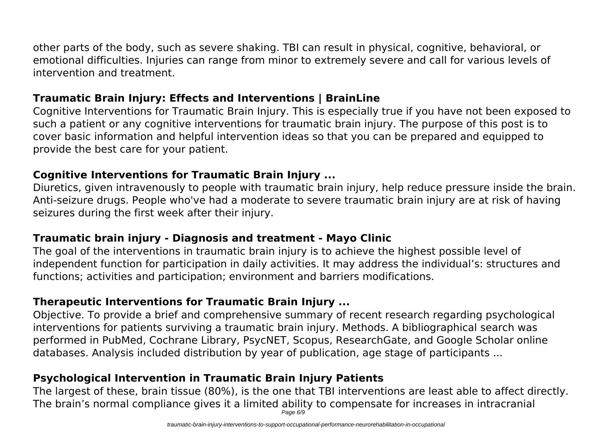other parts of the body, such as severe shaking. TBI can result in physical, cognitive, behavioral, or emotional difficulties. Injuries can range from minor to extremely severe and call for various levels of intervention and treatment.

## **Traumatic Brain Injury: Effects and Interventions | BrainLine**

Cognitive Interventions for Traumatic Brain Injury. This is especially true if you have not been exposed to such a patient or any cognitive interventions for traumatic brain injury. The purpose of this post is to cover basic information and helpful intervention ideas so that you can be prepared and equipped to provide the best care for your patient.

## **Cognitive Interventions for Traumatic Brain Injury ...**

Diuretics, given intravenously to people with traumatic brain injury, help reduce pressure inside the brain. Anti-seizure drugs. People who've had a moderate to severe traumatic brain injury are at risk of having seizures during the first week after their injury.

## **Traumatic brain injury - Diagnosis and treatment - Mayo Clinic**

The goal of the interventions in traumatic brain injury is to achieve the highest possible level of independent function for participation in daily activities. It may address the individual's: structures and functions; activities and participation; environment and barriers modifications.

## **Therapeutic Interventions for Traumatic Brain Injury ...**

Objective. To provide a brief and comprehensive summary of recent research regarding psychological interventions for patients surviving a traumatic brain injury. Methods. A bibliographical search was performed in PubMed, Cochrane Library, PsycNET, Scopus, ResearchGate, and Google Scholar online databases. Analysis included distribution by year of publication, age stage of participants ...

## **Psychological Intervention in Traumatic Brain Injury Patients**

The largest of these, brain tissue (80%), is the one that TBI interventions are least able to affect directly. The brain's normal compliance gives it a limited ability to compensate for increases in intracranial Page 6/9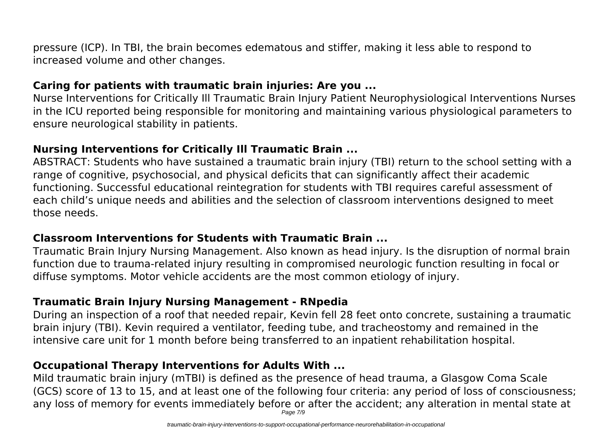pressure (ICP). In TBI, the brain becomes edematous and stiffer, making it less able to respond to increased volume and other changes.

## **Caring for patients with traumatic brain injuries: Are you ...**

Nurse Interventions for Critically Ill Traumatic Brain Injury Patient Neurophysiological Interventions Nurses in the ICU reported being responsible for monitoring and maintaining various physiological parameters to ensure neurological stability in patients.

## **Nursing Interventions for Critically Ill Traumatic Brain ...**

ABSTRACT: Students who have sustained a traumatic brain injury (TBI) return to the school setting with a range of cognitive, psychosocial, and physical deficits that can significantly affect their academic functioning. Successful educational reintegration for students with TBI requires careful assessment of each child's unique needs and abilities and the selection of classroom interventions designed to meet those needs.

## **Classroom Interventions for Students with Traumatic Brain ...**

Traumatic Brain Injury Nursing Management. Also known as head injury. Is the disruption of normal brain function due to trauma-related injury resulting in compromised neurologic function resulting in focal or diffuse symptoms. Motor vehicle accidents are the most common etiology of injury.

## **Traumatic Brain Injury Nursing Management - RNpedia**

During an inspection of a roof that needed repair, Kevin fell 28 feet onto concrete, sustaining a traumatic brain injury (TBI). Kevin required a ventilator, feeding tube, and tracheostomy and remained in the intensive care unit for 1 month before being transferred to an inpatient rehabilitation hospital.

## **Occupational Therapy Interventions for Adults With ...**

Mild traumatic brain injury (mTBI) is defined as the presence of head trauma, a Glasgow Coma Scale (GCS) score of 13 to 15, and at least one of the following four criteria: any period of loss of consciousness; any loss of memory for events immediately before or after the accident; any alteration in mental state at Page 7/9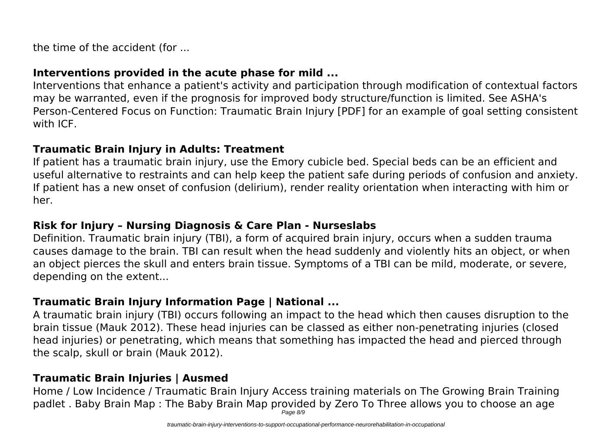the time of the accident (for ...

## **Interventions provided in the acute phase for mild ...**

Interventions that enhance a patient's activity and participation through modification of contextual factors may be warranted, even if the prognosis for improved body structure/function is limited. See ASHA's Person-Centered Focus on Function: Traumatic Brain Injury [PDF] for an example of goal setting consistent with ICF.

## **Traumatic Brain Injury in Adults: Treatment**

If patient has a traumatic brain injury, use the Emory cubicle bed. Special beds can be an efficient and useful alternative to restraints and can help keep the patient safe during periods of confusion and anxiety. If patient has a new onset of confusion (delirium), render reality orientation when interacting with him or her.

## **Risk for Injury – Nursing Diagnosis & Care Plan - Nurseslabs**

Definition. Traumatic brain injury (TBI), a form of acquired brain injury, occurs when a sudden trauma causes damage to the brain. TBI can result when the head suddenly and violently hits an object, or when an object pierces the skull and enters brain tissue. Symptoms of a TBI can be mild, moderate, or severe, depending on the extent...

## **Traumatic Brain Injury Information Page | National ...**

A traumatic brain injury (TBI) occurs following an impact to the head which then causes disruption to the brain tissue (Mauk 2012). These head injuries can be classed as either non-penetrating injuries (closed head injuries) or penetrating, which means that something has impacted the head and pierced through the scalp, skull or brain (Mauk 2012).

## **Traumatic Brain Injuries | Ausmed**

Home / Low Incidence / Traumatic Brain Injury Access training materials on The Growing Brain Training padlet . Baby Brain Map : The Baby Brain Map provided by Zero To Three allows you to choose an age Page 8/9